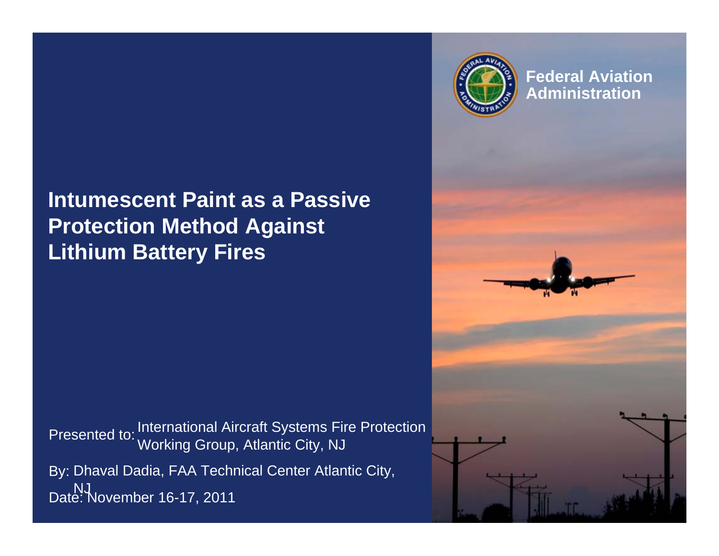#### **Intumescent Paint as a Passive Protection Method Against Lithium Battery Fires**

Presented to: International Aircraft Systems Fire Protection By: Dhaval Dadia, FAA Technical Center Atlantic City, Date: NJNovember 16-17, 2011Working Group, Atlantic City, NJ



**Federal Aviation Administration**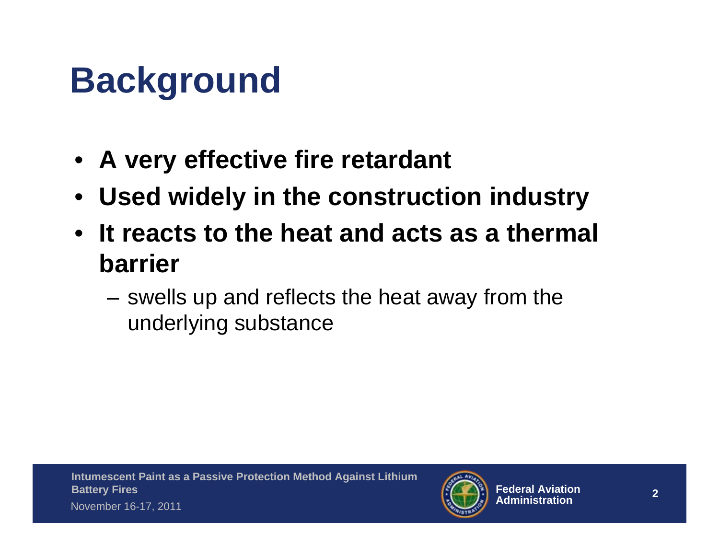# **Background**

- **A very effective fire retardant**
- **Used widely in the construction industry**
- **It reacts to the heat and acts as a thermal barrier**
	- swells up and reflects the heat away from the underlying substance

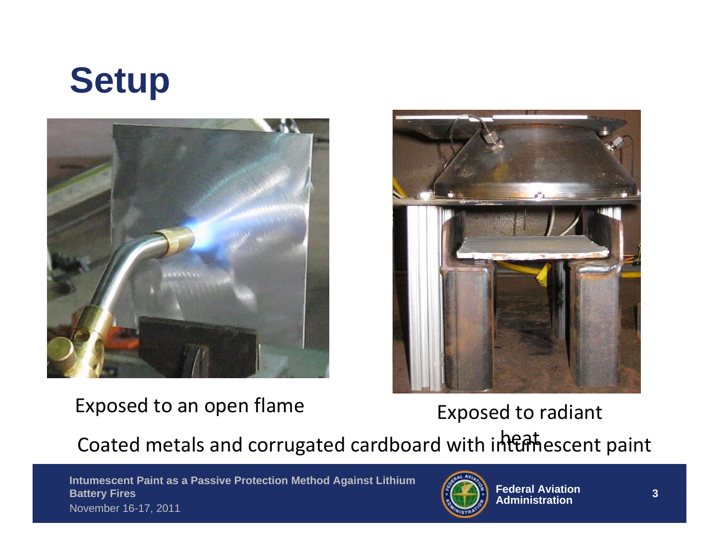





### Exposed to an open flame Exposed to radiant

Coated metals and corrugated cardboard with intumescent paint

 **Intumescent Paint as a Passive Protection Method Against Lithium Battery Fires** November 16-17, 2011

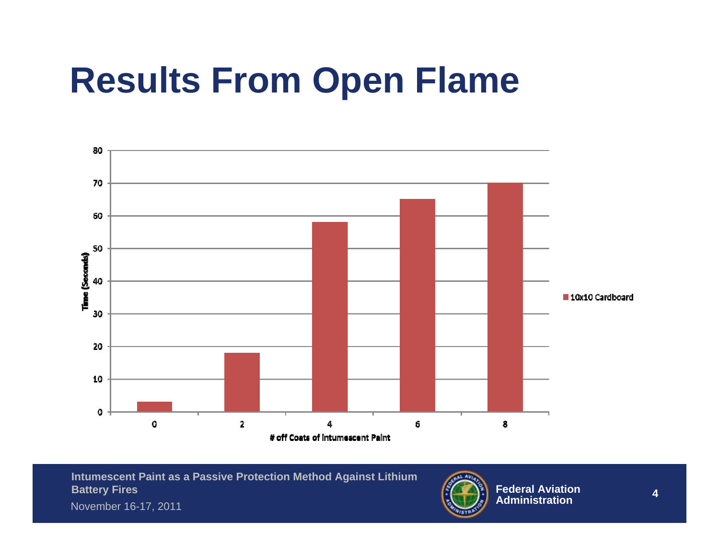# **Results From Open Flame**





November 16-17, 2011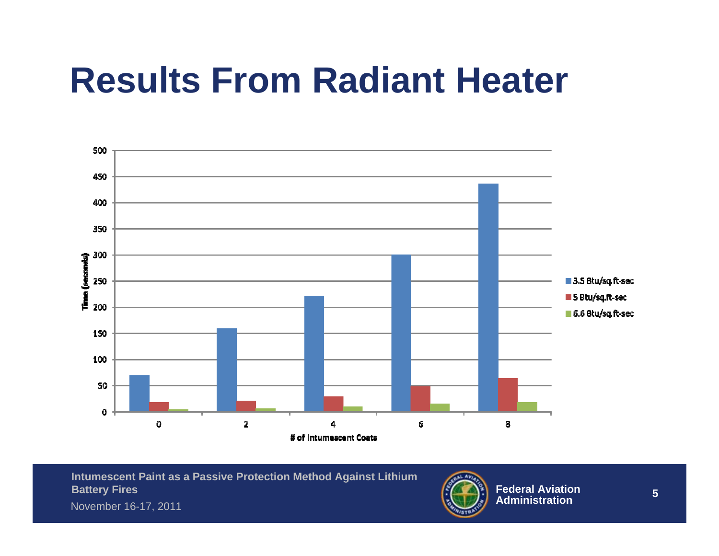## **Results From Radiant Heater**



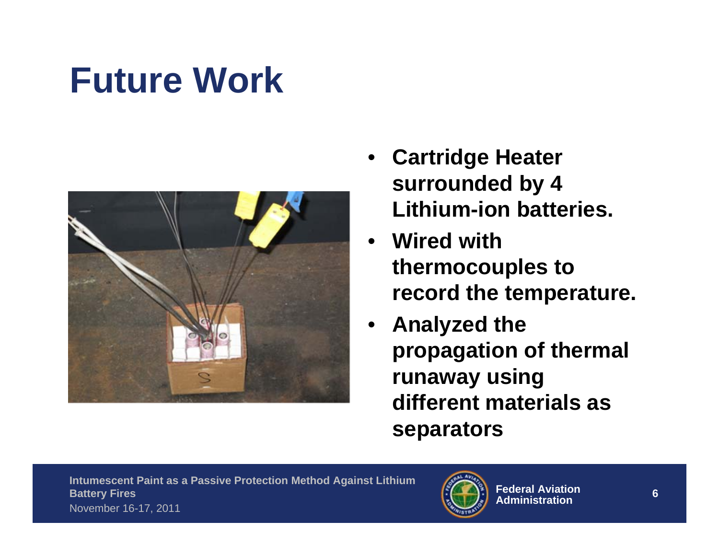# **Future Work**



- **Cartridge Heater surrounded by 4 Lithium-ion batteries.**
- **Wired with thermocouples to record the temperature.**
- **Analyzed the propagation of thermal runaway using different materials as separators**

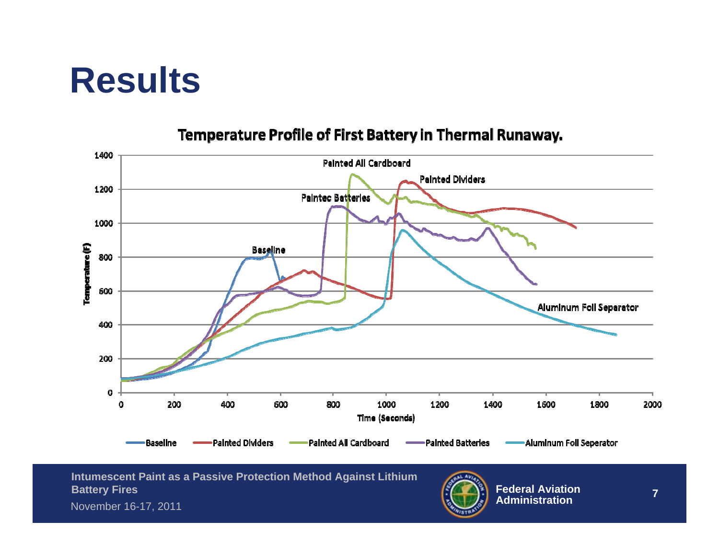## **Results**



#### Temperature Profile of First Battery in Thermal Runaway.

**Intumescent Paint as a Passive Protection Method Against Lithium Battery Fires**